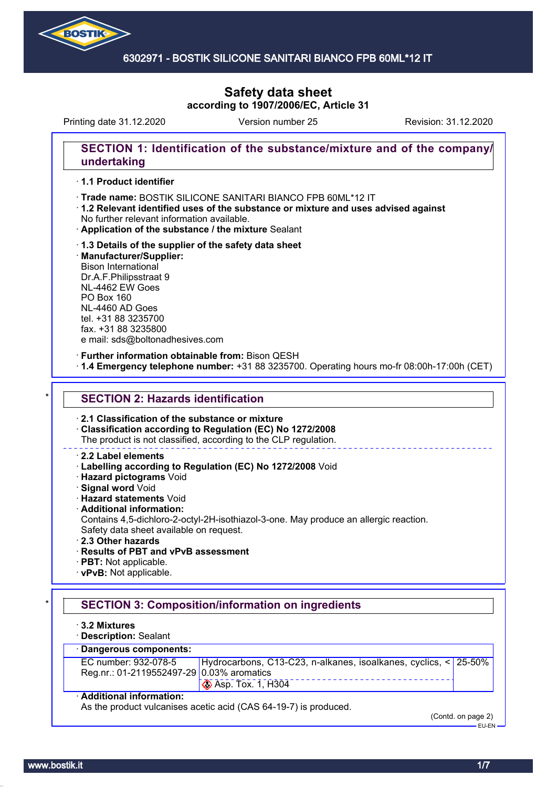

### 6302971 - BOSTIK SILICONE SANITARI BIANCO FPB 60ML\*12 IT

# **Safety data sheet according to 1907/2006/EC, Article 31**

Printing date 31.12.2020 Version number 25 Revision: 31.12.2020

## **SECTION 1: Identification of the substance/mixture and of the company/ undertaking**

### · **1.1 Product identifier**

- · Trade name: BOSTIK SILICONE SANITARI BIANCO FPB 60ML\*12 IT
- · **1.2 Relevant identified uses of the substance or mixture and uses advised against** No further relevant information available.
- · **Application of the substance / the mixture** Sealant
- · **1.3 Details of the supplier of the safety data sheet** · **Manufacturer/Supplier:** Bison International Dr.A.F.Philipsstraat 9 NL-4462 EW Goes PO Box 160 NL-4460 AD Goes tel. +31 88 3235700 fax. +31 88 3235800

e mail: sds@boltonadhesives.com

#### · **Further information obtainable from:** Bison QESH

· **1.4 Emergency telephone number:** +31 88 3235700. Operating hours mo-fr 08:00h-17:00h (CET)

#### **SECTION 2: Hazards identification**

#### · **2.1 Classification of the substance or mixture**

· **Classification according to Regulation (EC) No 1272/2008**

The product is not classified, according to the CLP regulation.

#### · **2.2 Label elements**

- · **Labelling according to Regulation (EC) No 1272/2008** Void
- · **Hazard pictograms** Void
- · **Signal word** Void
- · **Hazard statements** Void
- · **Additional information:**
- Contains 4,5-dichloro-2-octyl-2H-isothiazol-3-one. May produce an allergic reaction. Safety data sheet available on request.
- · **2.3 Other hazards**
- · **Results of PBT and vPvB assessment**
- · **PBT:** Not applicable.
- · **vPvB:** Not applicable.

# **SECTION 3: Composition/information on ingredients**

- · **3.2 Mixtures**
- · **Description:** Sealant

# · **Dangerous components:**

| EC number: 932-078-5                      | Hydrocarbons, C13-C23, n-alkanes, isoalkanes, cyclics, < 25-50% |  |  |
|-------------------------------------------|-----------------------------------------------------------------|--|--|
| Reg.nr.: 01-2119552497-29 0.03% aromatics |                                                                 |  |  |
|                                           | $\otimes$ Asp. Tox. 1, H304                                     |  |  |

#### · **Additional information:**

As the product vulcanises acetic acid (CAS 64-19-7) is produced.

(Contd. on page 2)

EU-EN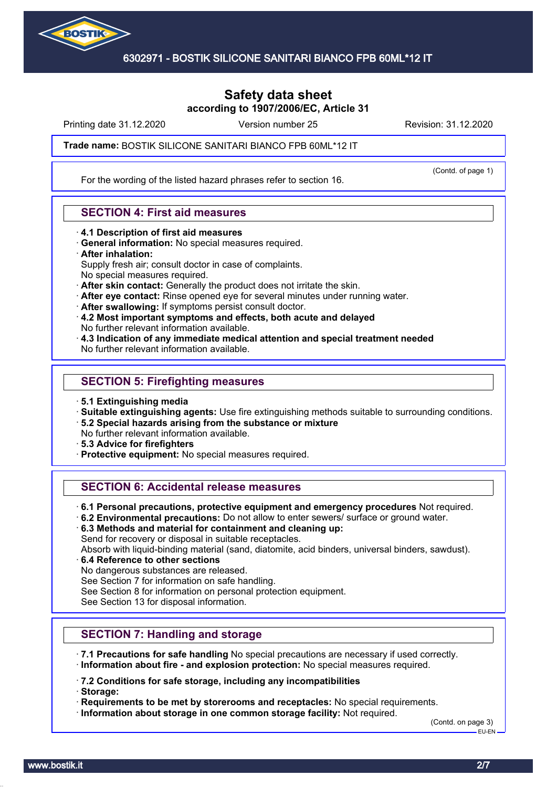

Printing date 31.12.2020 **Revision: 31.12.2020** Version number 25 Revision: 31.12.2020

(Contd. of page 1)

#### Trade name: BOSTIK SILICONE SANITARI BIANCO FPB 60ML\*12 IT

For the wording of the listed hazard phrases refer to section 16.

### **SECTION 4: First aid measures**

- · **4.1 Description of first aid measures**
- · **General information:** No special measures required.
- · **After inhalation:**

Supply fresh air; consult doctor in case of complaints.

- No special measures required.
- · **After skin contact:** Generally the product does not irritate the skin.
- · **After eye contact:** Rinse opened eye for several minutes under running water.
- · **After swallowing:** If symptoms persist consult doctor.
- · **4.2 Most important symptoms and effects, both acute and delayed** No further relevant information available.
- · **4.3 Indication of any immediate medical attention and special treatment needed** No further relevant information available.

### **SECTION 5: Firefighting measures**

- · **5.1 Extinguishing media**
- · **Suitable extinguishing agents:** Use fire extinguishing methods suitable to surrounding conditions.
- · **5.2 Special hazards arising from the substance or mixture**
- No further relevant information available.
- · **5.3 Advice for firefighters**
- · **Protective equipment:** No special measures required.

# **SECTION 6: Accidental release measures**

- · **6.1 Personal precautions, protective equipment and emergency procedures** Not required.
- · **6.2 Environmental precautions:** Do not allow to enter sewers/ surface or ground water.
- · **6.3 Methods and material for containment and cleaning up:**

Send for recovery or disposal in suitable receptacles.

Absorb with liquid-binding material (sand, diatomite, acid binders, universal binders, sawdust).

- · **6.4 Reference to other sections**
- No dangerous substances are released.

See Section 7 for information on safe handling.

See Section 8 for information on personal protection equipment.

See Section 13 for disposal information.

# **SECTION 7: Handling and storage**

- · **7.1 Precautions for safe handling** No special precautions are necessary if used correctly.
- · **Information about fire and explosion protection:** No special measures required.

· **7.2 Conditions for safe storage, including any incompatibilities**

· **Storage:**

· **Requirements to be met by storerooms and receptacles:** No special requirements.

· **Information about storage in one common storage facility:** Not required.

(Contd. on page 3) EU-EN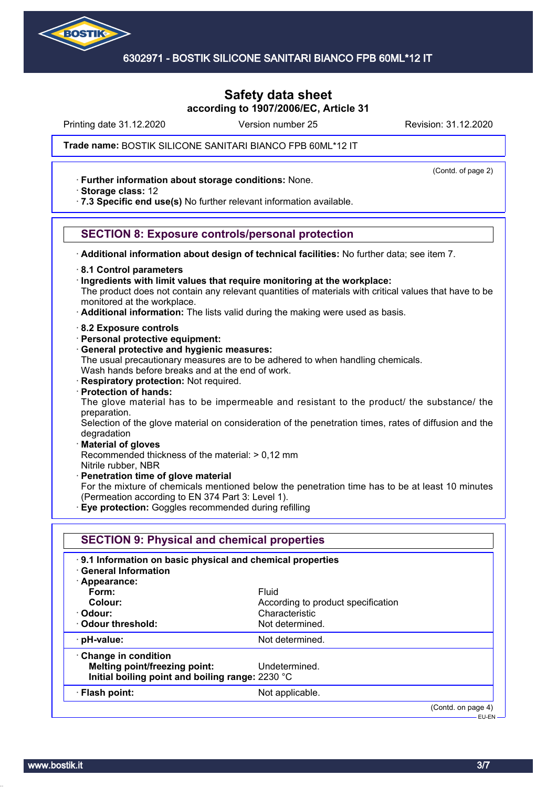

Printing date 31.12.2020 **Revision: 31.12.2020** Version number 25 Revision: 31.12.2020

(Contd. of page 2)

#### Trade name: BOSTIK SILICONE SANITARI BIANCO FPB 60ML\*12 IT

· **Further information about storage conditions:** None.

· **Storage class:** 12

· **7.3 Specific end use(s)** No further relevant information available.

### **SECTION 8: Exposure controls/personal protection**

· **Additional information about design of technical facilities:** No further data; see item 7.

· **8.1 Control parameters**

· **Ingredients with limit values that require monitoring at the workplace:**

The product does not contain any relevant quantities of materials with critical values that have to be monitored at the workplace.

- · **Additional information:** The lists valid during the making were used as basis.
- · **8.2 Exposure controls**
- · **Personal protective equipment:**
- · **General protective and hygienic measures:**

The usual precautionary measures are to be adhered to when handling chemicals. Wash hands before breaks and at the end of work.

- · **Respiratory protection:** Not required.
- · **Protection of hands:**

The glove material has to be impermeable and resistant to the product/ the substance/ the preparation.

Selection of the glove material on consideration of the penetration times, rates of diffusion and the degradation

#### · **Material of gloves**

Recommended thickness of the material: > 0,12 mm

Nitrile rubber, NBR

- · **Penetration time of glove material**
- For the mixture of chemicals mentioned below the penetration time has to be at least 10 minutes (Permeation according to EN 374 Part 3: Level 1).
- · **Eye protection:** Goggles recommended during refilling

| 9.1 Information on basic physical and chemical properties<br><b>General Information</b> |                                    |  |
|-----------------------------------------------------------------------------------------|------------------------------------|--|
| · Appearance:                                                                           |                                    |  |
| Form:                                                                                   | Fluid                              |  |
| Colour:                                                                                 | According to product specification |  |
| · Odour:                                                                                | Characteristic                     |  |
| Odour threshold:                                                                        | Not determined.                    |  |
| $\cdot$ pH-value:                                                                       | Not determined.                    |  |
| $\cdot$ Change in condition                                                             |                                    |  |
| Melting point/freezing point:                                                           | Undetermined.                      |  |
| Initial boiling point and boiling range: 2230 °C                                        |                                    |  |
| · Flash point:                                                                          | Not applicable.                    |  |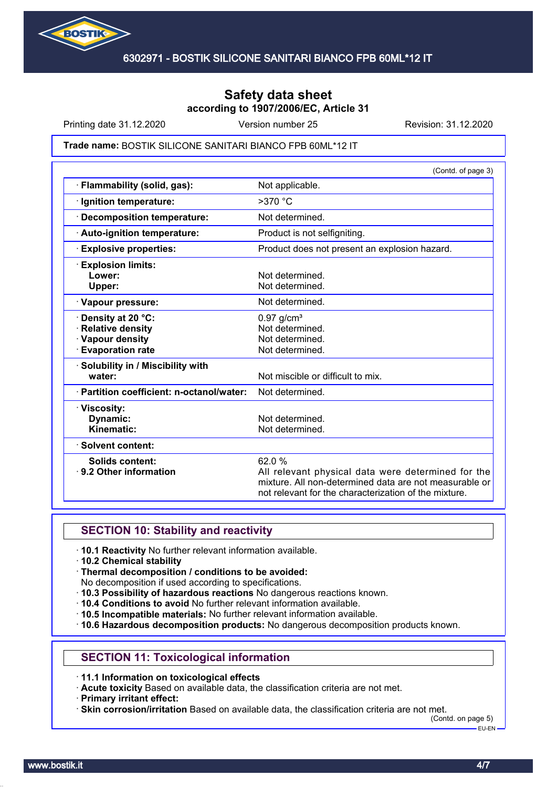

Printing date 31.12.2020 **Revision: 31.12.2020** Version number 25 Revision: 31.12.2020

#### Trade name: BOSTIK SILICONE SANITARI BIANCO FPB 60ML\*12 IT

|                                                                                                 | (Contd. of page 3)                                                                                                                                                             |
|-------------------------------------------------------------------------------------------------|--------------------------------------------------------------------------------------------------------------------------------------------------------------------------------|
| · Flammability (solid, gas):                                                                    | Not applicable.                                                                                                                                                                |
| · Ignition temperature:                                                                         | $>370$ °C                                                                                                                                                                      |
| · Decomposition temperature:                                                                    | Not determined.                                                                                                                                                                |
| · Auto-ignition temperature:                                                                    | Product is not selfigniting.                                                                                                                                                   |
| <b>Explosive properties:</b>                                                                    | Product does not present an explosion hazard.                                                                                                                                  |
| <b>Explosion limits:</b><br>Lower:<br>Upper:                                                    | Not determined.<br>Not determined.                                                                                                                                             |
| · Vapour pressure:                                                                              | Not determined.                                                                                                                                                                |
| <b>· Density at 20 °C:</b><br>· Relative density<br>· Vapour density<br><b>Evaporation rate</b> | $0.97$ g/cm <sup>3</sup><br>Not determined.<br>Not determined.<br>Not determined.                                                                                              |
| · Solubility in / Miscibility with<br>water:                                                    | Not miscible or difficult to mix.                                                                                                                                              |
| · Partition coefficient: n-octanol/water:                                                       | Not determined.                                                                                                                                                                |
| · Viscosity:<br>Dynamic:<br>Kinematic:                                                          | Not determined.<br>Not determined.                                                                                                                                             |
| · Solvent content:                                                                              |                                                                                                                                                                                |
| <b>Solids content:</b><br>9.2 Other information                                                 | 62.0%<br>All relevant physical data were determined for the<br>mixture. All non-determined data are not measurable or<br>not relevant for the characterization of the mixture. |

### **SECTION 10: Stability and reactivity**

- · **10.1 Reactivity** No further relevant information available.
- · **10.2 Chemical stability**
- · **Thermal decomposition / conditions to be avoided:**
- No decomposition if used according to specifications.
- · **10.3 Possibility of hazardous reactions** No dangerous reactions known.
- · **10.4 Conditions to avoid** No further relevant information available.
- · **10.5 Incompatible materials:** No further relevant information available.
- · **10.6 Hazardous decomposition products:** No dangerous decomposition products known.

### **SECTION 11: Toxicological information**

· **11.1 Information on toxicological effects**

· **Acute toxicity** Based on available data, the classification criteria are not met.

· **Primary irritant effect:**

· **Skin corrosion/irritation** Based on available data, the classification criteria are not met.

(Contd. on page 5) EU-EN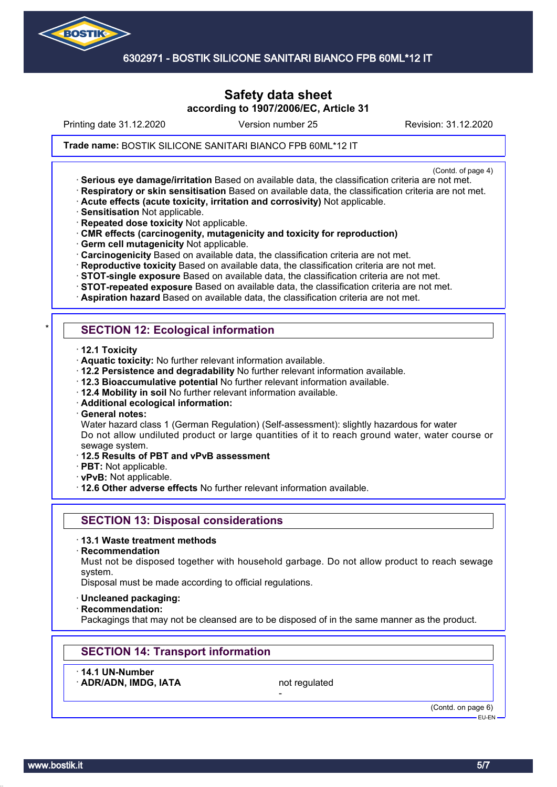

6302971 - BOSTIK SILICONE SANITARI BIANCO FPB 60ML\*12 IT

# **Safety data sheet according to 1907/2006/EC, Article 31**

Printing date 31.12.2020 **Revision: 31.12.2020** Version number 25 Revision: 31.12.2020

Trade name: BOSTIK SILICONE SANITARI BIANCO FPB 60ML\*12 IT

(Contd. of page 4)

- · **Serious eye damage/irritation** Based on available data, the classification criteria are not met. · **Respiratory or skin sensitisation** Based on available data, the classification criteria are not met.
- · **Acute effects (acute toxicity, irritation and corrosivity)** Not applicable.
- · **Sensitisation** Not applicable.
- · **Repeated dose toxicity** Not applicable.
- · **CMR effects (carcinogenity, mutagenicity and toxicity for reproduction)**
- · **Germ cell mutagenicity** Not applicable.
- · **Carcinogenicity** Based on available data, the classification criteria are not met.
- · **Reproductive toxicity** Based on available data, the classification criteria are not met.
- · **STOT-single exposure** Based on available data, the classification criteria are not met.
- · **STOT-repeated exposure** Based on available data, the classification criteria are not met.
- · **Aspiration hazard** Based on available data, the classification criteria are not met.

# **SECTION 12: Ecological information**

- · **12.1 Toxicity**
- · **Aquatic toxicity:** No further relevant information available.
- · **12.2 Persistence and degradability** No further relevant information available.
- · **12.3 Bioaccumulative potential** No further relevant information available.
- · **12.4 Mobility in soil** No further relevant information available.
- · **Additional ecological information:**
- · **General notes:**

Water hazard class 1 (German Regulation) (Self-assessment): slightly hazardous for water Do not allow undiluted product or large quantities of it to reach ground water, water course or sewage system.

- · **12.5 Results of PBT and vPvB assessment**
- · **PBT:** Not applicable.
- · **vPvB:** Not applicable.
- · **12.6 Other adverse effects** No further relevant information available.

### **SECTION 13: Disposal considerations**

- · **13.1 Waste treatment methods**
- · **Recommendation**

Must not be disposed together with household garbage. Do not allow product to reach sewage system.

Disposal must be made according to official regulations.

- · **Uncleaned packaging:**
- · **Recommendation:**

Packagings that may not be cleansed are to be disposed of in the same manner as the product.

# **SECTION 14: Transport information**

· **14.1 UN-Number**

ADR/ADN, IMDG, IATA not regulated

-

(Contd. on page 6) EU-EN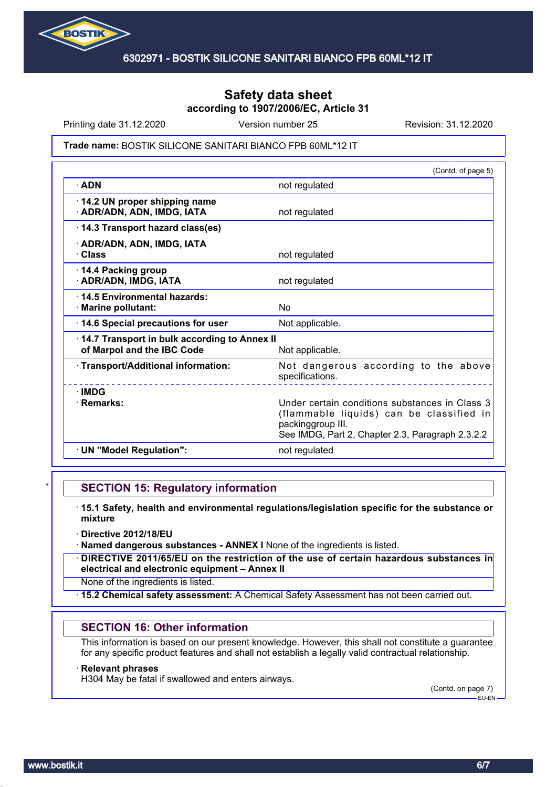

Printing date 31.12.2020 **Revision: 31.12.2020** Version number 25 Revision: 31.12.2020

#### Trade name: BOSTIK SILICONE SANITARI BIANCO FPB 60ML\*12 IT

|                                                                            | (Contd. of page 5)                                                                                                                                                  |
|----------------------------------------------------------------------------|---------------------------------------------------------------------------------------------------------------------------------------------------------------------|
| $\cdot$ ADN                                                                | not regulated                                                                                                                                                       |
| 14.2 UN proper shipping name<br>· ADR/ADN, ADN, IMDG, IATA                 | not regulated                                                                                                                                                       |
| 14.3 Transport hazard class(es)                                            |                                                                                                                                                                     |
| · ADR/ADN, ADN, IMDG, IATA<br>· Class                                      | not regulated                                                                                                                                                       |
| 14.4 Packing group<br>· ADR/ADN, IMDG, IATA                                | not regulated                                                                                                                                                       |
| 14.5 Environmental hazards:<br>· Marine pollutant:                         | No                                                                                                                                                                  |
| 14.6 Special precautions for user                                          | Not applicable.                                                                                                                                                     |
| 14.7 Transport in bulk according to Annex II<br>of Marpol and the IBC Code | Not applicable.                                                                                                                                                     |
| · Transport/Additional information:                                        | Not dangerous according to the above<br>specifications.                                                                                                             |
| $\cdot$ IMDG<br>· Remarks:                                                 | Under certain conditions substances in Class 3<br>(flammable liquids) can be classified in<br>packinggroup III.<br>See IMDG, Part 2, Chapter 2.3, Paragraph 2.3.2.2 |
| · UN "Model Regulation":                                                   | not regulated                                                                                                                                                       |

### **SECTION 15: Regulatory information**

- · **15.1 Safety, health and environmental regulations/legislation specific for the substance or mixture**
- · **Directive 2012/18/EU**
- · **Named dangerous substances ANNEX I** None of the ingredients is listed.
- · **DIRECTIVE 2011/65/EU on the restriction of the use of certain hazardous substances in electrical and electronic equipment – Annex II**
- None of the ingredients is listed.
- · **15.2 Chemical safety assessment:** A Chemical Safety Assessment has not been carried out.

### **SECTION 16: Other information**

This information is based on our present knowledge. However, this shall not constitute a guarantee for any specific product features and shall not establish a legally valid contractual relationship.

#### · **Relevant phrases**

H304 May be fatal if swallowed and enters airways.

(Contd. on page 7) EU-EN